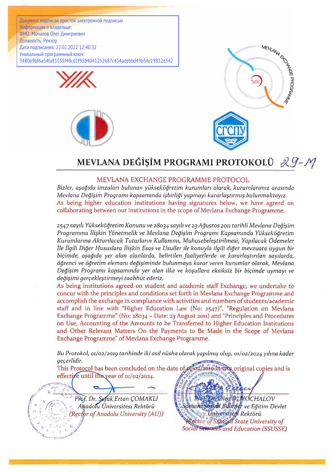Документ подписан простой электронной подписью Информация о владельце: ФИО: Мочалов Олег Дмитриевич Должность: Ректор Дата подписания: 22.02.2022 12:40:32 Уникальный программный ключ: 348069bf6a54fa85555f48cd1f95b4041252687c434adebbd49b54c198326542







## **MEVLANA DEGi\$IM PROGRAMI PROTOKOLÜ**  $29 - M$

## **MEVLANA EXCHANGE PROGRAMME PROTOCOL**

*Bizler, açagida imzalari bulunan yüksekögretim kurumlari olarak, kurumlarirruz arasmda Mevlana Degiçim Programi kapsammda içbirligi yapmayi kararlaçtirmiç bulunmaktayiz.* As being higher education institutions having signatures below, we have agreed on collaborating between our institutions in the scope of Mevlana Exchange Programme.

*2547saydi Yüksekögretim Kanunu ve 28034 saydi ve 23 Agustos 2011 tarihli Mevlana Degiçim Programma îliçkin Yönetmelik ve Mevlana Degiçim Programi Kapsammda Yüksekögretim Kurumlanna Aktanlacak Tutarlarin Kullanimi, Muhasebeleçtirilmesi, Yapilacak Ödemeier île llgili Diger Hususlara îliçkin Esas ve Usuller ile konuyla ilgili diger mevzuata uygun bir biçimde, açagida yer alan alanlarda, belirtilen faaliyetlerde ve kararlaçtirilan sayilarda, ögrenci ve ögretim elemam degiçiminde bulunmaya karar veren lairumlar olarak, Mevlana Degiçim Programi kapsammda yer alan ilke ve koçullara eksiksiz bir biçimde uymayi ve degiçimi gerçekleçtirmeyi taahhüt ederiz.*

As being institutions agreed on student and academic staff Exchange, we undertake to concur with the principles and conditions set forth in Mevlana Exchange Programme and accomplish the exchange in compliance with activities and numbers of students/academic staff and in line with "Higher Education Law (No: 2547)", "Regulation on Mevlana Exchange Programme" (No: 28034 - Date: 23 August 2011) and "Principles and Procedures on Use, Accounting of the Amounts to be Transferred to Higher Education Institutions and Other Relevant Matters On the Payments to Be Made in the Scope of Mevlana Exchange Programme" of Mevlana Exchange Programme.

*Bu Protokol, 01/02/201g tarihinde iki asil nüsha olarak yapilmiç olup, 01/02/2024yilma kadar geçerlidir.*

This Protocol has been concluded on the date of  $\mathcal{A}\left(\alpha\right)$  and  $\mathcal{B}\left(\alpha\right)$  original copies and is effective until the year of  $o1/o2/2024$ .

Prof. Dr. Safak Ertan ÇOMAKLI *'* \ - *Anadofu Üniversitesi Rektörü (Rector o f Anadolu University (AU))* .T '- '.' v *'" I f*

//

 $\mathcal{V}$  -

1

*<sup>i</sup>* <sup>A</sup>*//.* /; /

V' *jjf* n G *\**

*iCHALOV <i>deg D MOCHALOV <i><u>Samara Sosyal Billinter</u>* ve Egitim Devlet \_ *Rektörü* r *o f Sqpfàpa State University o f* **Social Sciences** and Education (SSUSSE)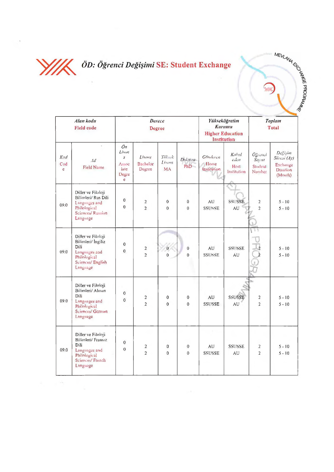

## *' W L ÖD: Ögrenci Degi§imi* **SE: Student Exchange**

P OF FAUGRAM

 $\mathbb{Z}$ 

| Alan kodu<br><b>Field code</b> |                                                                                                                   | Derece<br><b>Degree</b>                                               |                                     |                                |                                  | Yükseköğretim<br>Kurumu<br><b>Higher Education</b><br>Institution |                                                              | Toplam<br><b>Total</b>                                                  |                                                                              |
|--------------------------------|-------------------------------------------------------------------------------------------------------------------|-----------------------------------------------------------------------|-------------------------------------|--------------------------------|----------------------------------|-------------------------------------------------------------------|--------------------------------------------------------------|-------------------------------------------------------------------------|------------------------------------------------------------------------------|
| Kod<br>Cod<br>e                | $\alpha$<br>Ad<br>Field Name                                                                                      | On<br>Lisan<br>$\mathcal{S}$<br>$A = 50$<br><i>iate</i><br>Degre<br>e | <b>Lisans</b><br>Bachelor<br>Degree | Yük k<br>Lisms<br><b>MA</b>    | Duktora<br>PhD                   | Gönderen<br>Home<br>Institution                                   | Kabul<br>$\epsilon$ <sub>de</sub> $n$<br>Host<br>Institution | $0$ $\zeta$ <sub>1</sub> . $n$ <i>i</i><br>Satust<br>Student.<br>Number | Degision<br>$S\ddot{u}$ csi $(Ay)$<br>Exchange<br><b>Duration</b><br>(Month) |
| 09.0                           | Diller ve Filoloji<br>Bilimleri/ Rus Dili<br>Languages and<br><b>Philological</b><br>Sciences/Russian<br>Language | $\overline{0}$<br>$\Omega$                                            | $\sqrt{2}$<br>$\overline{2}$        | $\mathbf{0}$<br>$\overline{0}$ | 0<br>$\theta$                    | AU<br><b>SSUSSE</b>                                               | <b>SSUSSE</b><br>AU                                          | $\mathbf{2}$<br>$\overline{2}$                                          | $5 - 10$<br>$5 - 10$                                                         |
| 09.0                           | Diller ve Filoloji<br>Bilimleri/ Ingiliz<br>Dili<br>Languages and<br>Philological<br>Sciences/English<br>Language | $\bf{0}$<br>$\Omega$                                                  | $\mathbf 2$<br>$\overline{2}$       | $\hat{\mathbf{U}}$<br>$\Omega$ | $\boldsymbol{0}$<br>$\mathbf{0}$ | AU<br><b>SSUSSE</b>                                               | <b>SSUSSE</b><br>AU                                          |                                                                         | $5 - 10$<br>$5 - 10$                                                         |
| 09.0                           | Diller ve Filoloji<br>Bilimleri/ Alman<br>Dili<br>Languages and<br>Philological<br>Sciences/ German<br>Language   | $\mathbf 0$<br>$\mathbf 0$                                            | $\sqrt{2}$<br>$\overline{2}$        | 0<br>$\mathbf{0}$              | 0<br>0                           | AU<br><b>SSUSSE</b>                                               | <b>SSUSSE</b><br>AU                                          | 2<br>$\overline{2}$                                                     | $5 - 10$<br>$5 - 10$                                                         |
| 09.0                           | Diller ve Filoloji<br>Bilimleri/ Fransız<br>Dili<br>Languages and<br>Philological<br>Sciences/ French<br>Language | $\theta$<br>$\mathbf{0}$                                              | $\overline{2}$<br>$\overline{2}$    | 0<br>$\mathbf{0}$              | 0<br>$\mathbf 0$                 | AU<br><b>SSUSSE</b>                                               | <b>SSUSSE</b><br>AU                                          | 2<br>$\overline{2}$                                                     | $5 - 10$<br>$5 - 10$                                                         |

 $\sim$